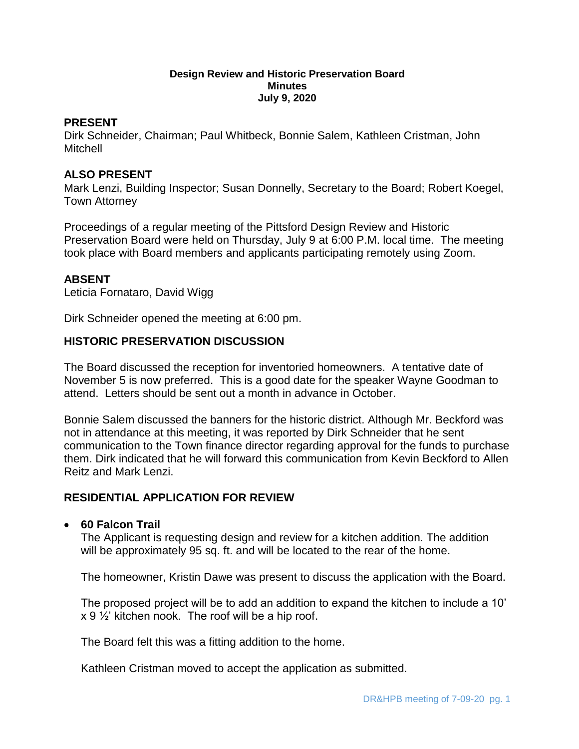#### **Design Review and Historic Preservation Board Minutes July 9, 2020**

## **PRESENT**

Dirk Schneider, Chairman; Paul Whitbeck, Bonnie Salem, Kathleen Cristman, John Mitchell

## **ALSO PRESENT**

Mark Lenzi, Building Inspector; Susan Donnelly, Secretary to the Board; Robert Koegel, Town Attorney

Proceedings of a regular meeting of the Pittsford Design Review and Historic Preservation Board were held on Thursday, July 9 at 6:00 P.M. local time. The meeting took place with Board members and applicants participating remotely using Zoom.

## **ABSENT**

Leticia Fornataro, David Wigg

Dirk Schneider opened the meeting at 6:00 pm.

## **HISTORIC PRESERVATION DISCUSSION**

The Board discussed the reception for inventoried homeowners. A tentative date of November 5 is now preferred. This is a good date for the speaker Wayne Goodman to attend. Letters should be sent out a month in advance in October.

Bonnie Salem discussed the banners for the historic district. Although Mr. Beckford was not in attendance at this meeting, it was reported by Dirk Schneider that he sent communication to the Town finance director regarding approval for the funds to purchase them. Dirk indicated that he will forward this communication from Kevin Beckford to Allen Reitz and Mark Lenzi.

# **RESIDENTIAL APPLICATION FOR REVIEW**

#### **60 Falcon Trail**

The Applicant is requesting design and review for a kitchen addition. The addition will be approximately 95 sq. ft. and will be located to the rear of the home.

The homeowner, Kristin Dawe was present to discuss the application with the Board.

The proposed project will be to add an addition to expand the kitchen to include a 10'  $x$  9  $\frac{1}{2}$  kitchen nook. The roof will be a hip roof.

The Board felt this was a fitting addition to the home.

Kathleen Cristman moved to accept the application as submitted.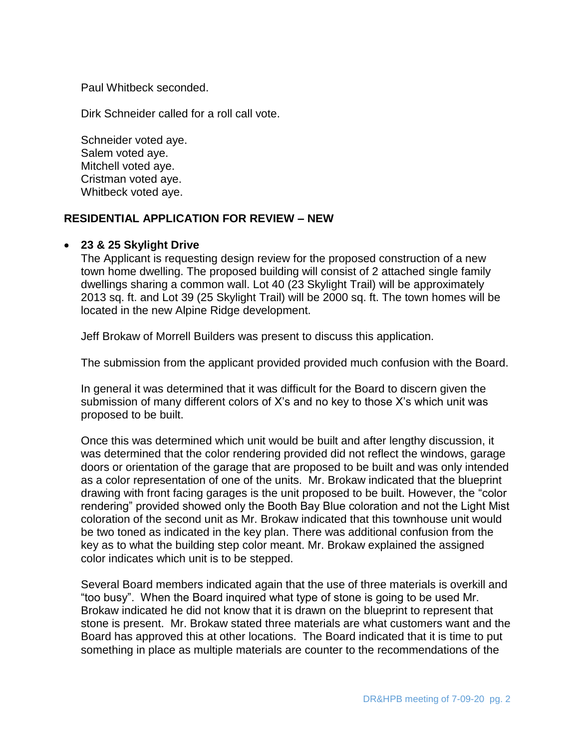Paul Whitbeck seconded.

Dirk Schneider called for a roll call vote.

Schneider voted aye. Salem voted aye. Mitchell voted aye. Cristman voted aye. Whitbeck voted aye.

# **RESIDENTIAL APPLICATION FOR REVIEW – NEW**

#### **23 & 25 Skylight Drive**

The Applicant is requesting design review for the proposed construction of a new town home dwelling. The proposed building will consist of 2 attached single family dwellings sharing a common wall. Lot 40 (23 Skylight Trail) will be approximately 2013 sq. ft. and Lot 39 (25 Skylight Trail) will be 2000 sq. ft. The town homes will be located in the new Alpine Ridge development.

Jeff Brokaw of Morrell Builders was present to discuss this application.

The submission from the applicant provided provided much confusion with the Board.

In general it was determined that it was difficult for the Board to discern given the submission of many different colors of X's and no key to those X's which unit was proposed to be built.

Once this was determined which unit would be built and after lengthy discussion, it was determined that the color rendering provided did not reflect the windows, garage doors or orientation of the garage that are proposed to be built and was only intended as a color representation of one of the units. Mr. Brokaw indicated that the blueprint drawing with front facing garages is the unit proposed to be built. However, the "color rendering" provided showed only the Booth Bay Blue coloration and not the Light Mist coloration of the second unit as Mr. Brokaw indicated that this townhouse unit would be two toned as indicated in the key plan. There was additional confusion from the key as to what the building step color meant. Mr. Brokaw explained the assigned color indicates which unit is to be stepped.

Several Board members indicated again that the use of three materials is overkill and "too busy". When the Board inquired what type of stone is going to be used Mr. Brokaw indicated he did not know that it is drawn on the blueprint to represent that stone is present. Mr. Brokaw stated three materials are what customers want and the Board has approved this at other locations. The Board indicated that it is time to put something in place as multiple materials are counter to the recommendations of the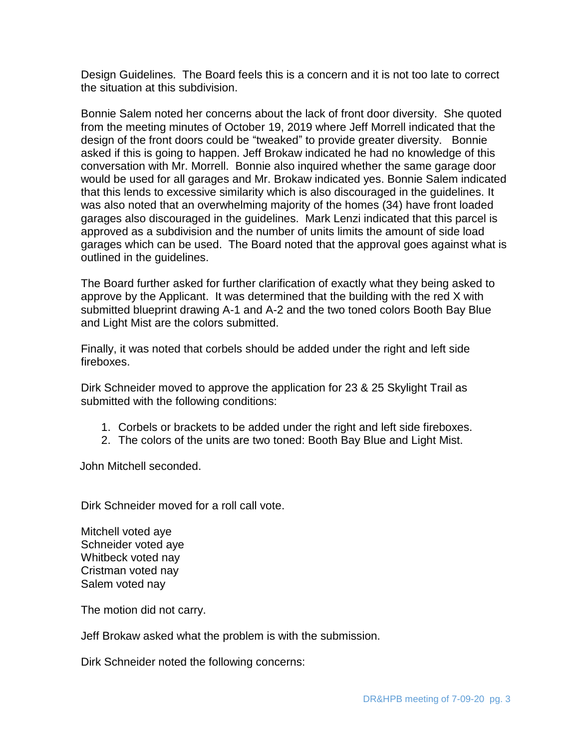Design Guidelines. The Board feels this is a concern and it is not too late to correct the situation at this subdivision.

Bonnie Salem noted her concerns about the lack of front door diversity. She quoted from the meeting minutes of October 19, 2019 where Jeff Morrell indicated that the design of the front doors could be "tweaked" to provide greater diversity. Bonnie asked if this is going to happen. Jeff Brokaw indicated he had no knowledge of this conversation with Mr. Morrell. Bonnie also inquired whether the same garage door would be used for all garages and Mr. Brokaw indicated yes. Bonnie Salem indicated that this lends to excessive similarity which is also discouraged in the guidelines. It was also noted that an overwhelming majority of the homes (34) have front loaded garages also discouraged in the guidelines. Mark Lenzi indicated that this parcel is approved as a subdivision and the number of units limits the amount of side load garages which can be used. The Board noted that the approval goes against what is outlined in the guidelines.

The Board further asked for further clarification of exactly what they being asked to approve by the Applicant. It was determined that the building with the red X with submitted blueprint drawing A-1 and A-2 and the two toned colors Booth Bay Blue and Light Mist are the colors submitted.

Finally, it was noted that corbels should be added under the right and left side fireboxes.

Dirk Schneider moved to approve the application for 23 & 25 Skylight Trail as submitted with the following conditions:

- 1. Corbels or brackets to be added under the right and left side fireboxes.
- 2. The colors of the units are two toned: Booth Bay Blue and Light Mist.

John Mitchell seconded.

Dirk Schneider moved for a roll call vote.

Mitchell voted aye Schneider voted aye Whitbeck voted nay Cristman voted nay Salem voted nay

The motion did not carry.

Jeff Brokaw asked what the problem is with the submission.

Dirk Schneider noted the following concerns: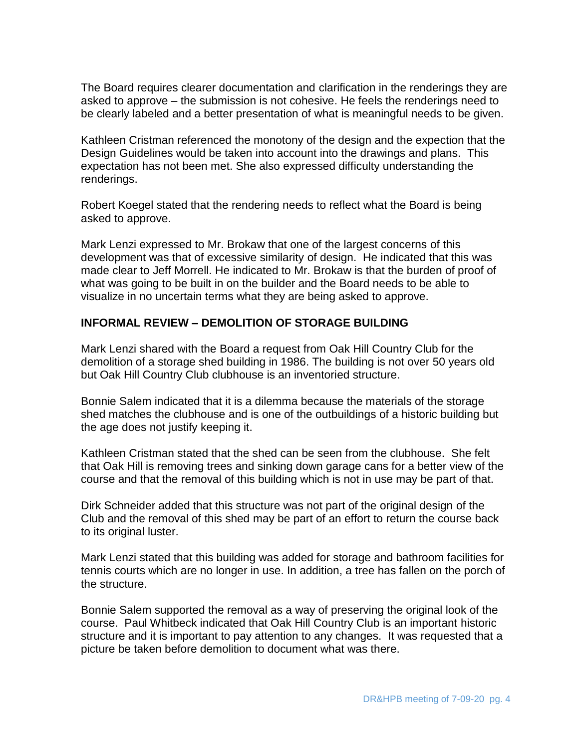The Board requires clearer documentation and clarification in the renderings they are asked to approve – the submission is not cohesive. He feels the renderings need to be clearly labeled and a better presentation of what is meaningful needs to be given.

Kathleen Cristman referenced the monotony of the design and the expection that the Design Guidelines would be taken into account into the drawings and plans. This expectation has not been met. She also expressed difficulty understanding the renderings.

Robert Koegel stated that the rendering needs to reflect what the Board is being asked to approve.

Mark Lenzi expressed to Mr. Brokaw that one of the largest concerns of this development was that of excessive similarity of design. He indicated that this was made clear to Jeff Morrell. He indicated to Mr. Brokaw is that the burden of proof of what was going to be built in on the builder and the Board needs to be able to visualize in no uncertain terms what they are being asked to approve.

# **INFORMAL REVIEW – DEMOLITION OF STORAGE BUILDING**

Mark Lenzi shared with the Board a request from Oak Hill Country Club for the demolition of a storage shed building in 1986. The building is not over 50 years old but Oak Hill Country Club clubhouse is an inventoried structure.

Bonnie Salem indicated that it is a dilemma because the materials of the storage shed matches the clubhouse and is one of the outbuildings of a historic building but the age does not justify keeping it.

Kathleen Cristman stated that the shed can be seen from the clubhouse. She felt that Oak Hill is removing trees and sinking down garage cans for a better view of the course and that the removal of this building which is not in use may be part of that.

Dirk Schneider added that this structure was not part of the original design of the Club and the removal of this shed may be part of an effort to return the course back to its original luster.

Mark Lenzi stated that this building was added for storage and bathroom facilities for tennis courts which are no longer in use. In addition, a tree has fallen on the porch of the structure.

Bonnie Salem supported the removal as a way of preserving the original look of the course. Paul Whitbeck indicated that Oak Hill Country Club is an important historic structure and it is important to pay attention to any changes. It was requested that a picture be taken before demolition to document what was there.